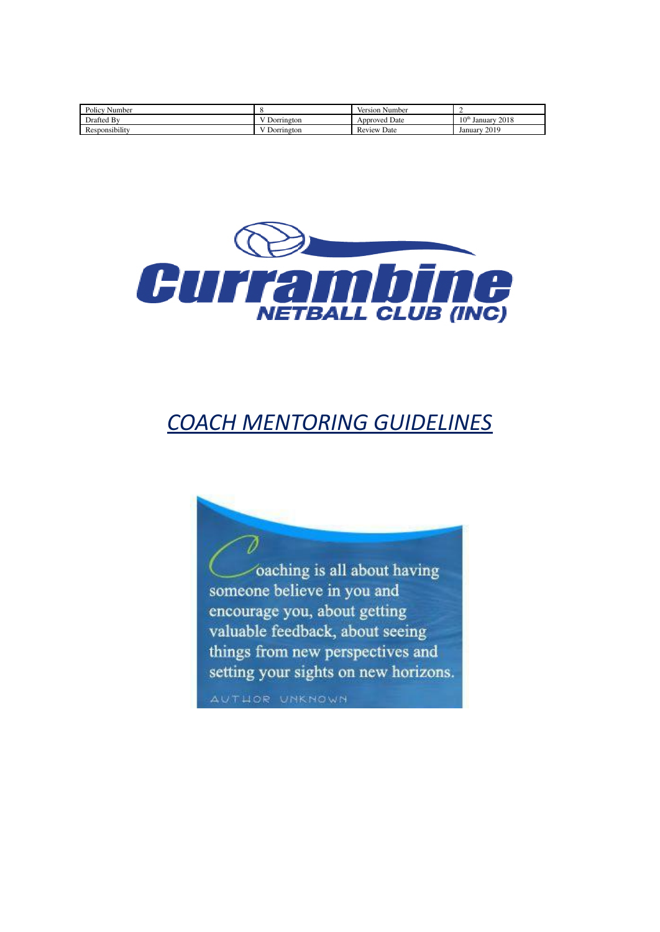| Policy i<br>Number |            | Version Number |                                     |
|--------------------|------------|----------------|-------------------------------------|
| Drafted By         | Dorrington | Approved Date  | $10^{\text{th}}$<br>2018<br>January |
| Responsibility     | Dorrington | Review<br>Date | 2019<br>January                     |



# *COACH MENTORING GUIDELINES*

oaching is all about having someone believe in you and encourage you, about getting valuable feedback, about seeing things from new perspectives and setting your sights on new horizons.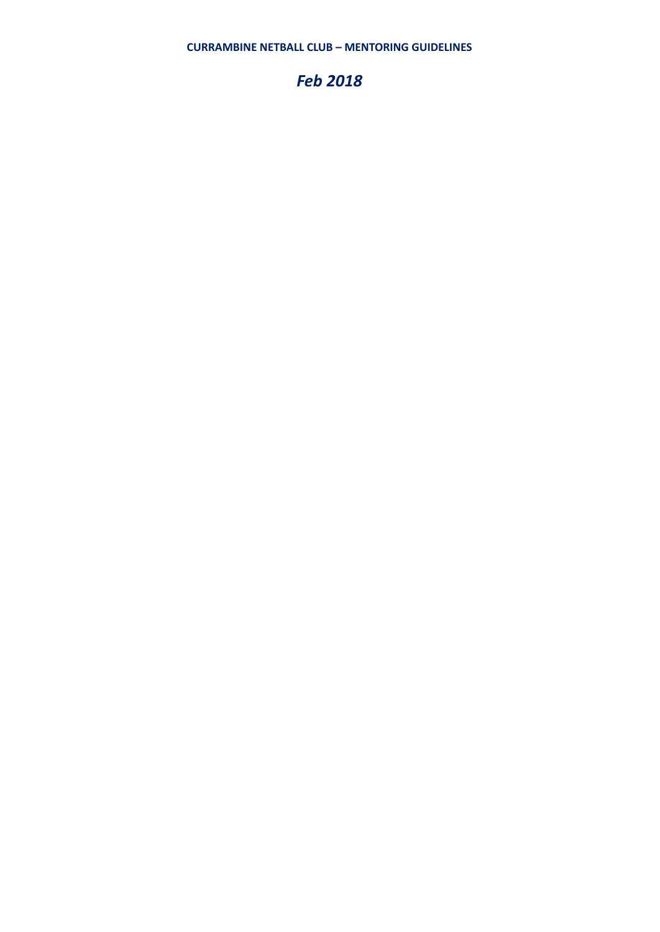# *Feb 2018*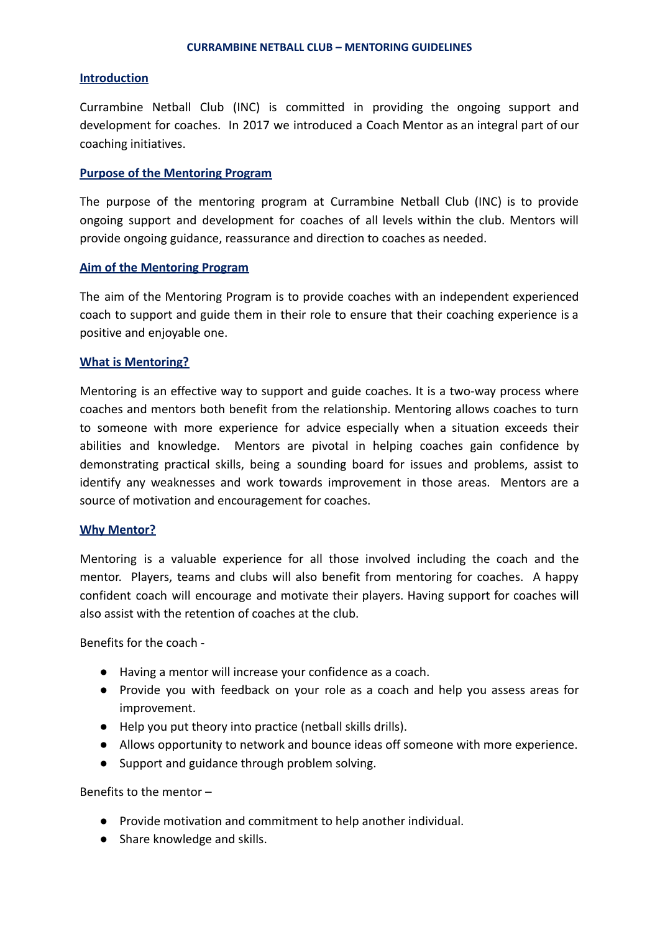#### **Introduction**

Currambine Netball Club (INC) is committed in providing the ongoing support and development for coaches. In 2017 we introduced a Coach Mentor as an integral part of our coaching initiatives.

#### **Purpose of the Mentoring Program**

The purpose of the mentoring program at Currambine Netball Club (INC) is to provide ongoing support and development for coaches of all levels within the club. Mentors will provide ongoing guidance, reassurance and direction to coaches as needed.

#### **Aim of the Mentoring Program**

The aim of the Mentoring Program is to provide coaches with an independent experienced coach to support and guide them in their role to ensure that their coaching experience is a positive and enjoyable one.

#### **What is Mentoring?**

Mentoring is an effective way to support and guide coaches. It is a two-way process where coaches and mentors both benefit from the relationship. Mentoring allows coaches to turn to someone with more experience for advice especially when a situation exceeds their abilities and knowledge. Mentors are pivotal in helping coaches gain confidence by demonstrating practical skills, being a sounding board for issues and problems, assist to identify any weaknesses and work towards improvement in those areas. Mentors are a source of motivation and encouragement for coaches.

#### **Why Mentor?**

Mentoring is a valuable experience for all those involved including the coach and the mentor. Players, teams and clubs will also benefit from mentoring for coaches. A happy confident coach will encourage and motivate their players. Having support for coaches will also assist with the retention of coaches at the club.

Benefits for the coach -

- Having a mentor will increase your confidence as a coach.
- Provide you with feedback on your role as a coach and help you assess areas for improvement.
- Help you put theory into practice (netball skills drills).
- Allows opportunity to network and bounce ideas off someone with more experience.
- Support and guidance through problem solving.

Benefits to the mentor –

- Provide motivation and commitment to help another individual.
- Share knowledge and skills.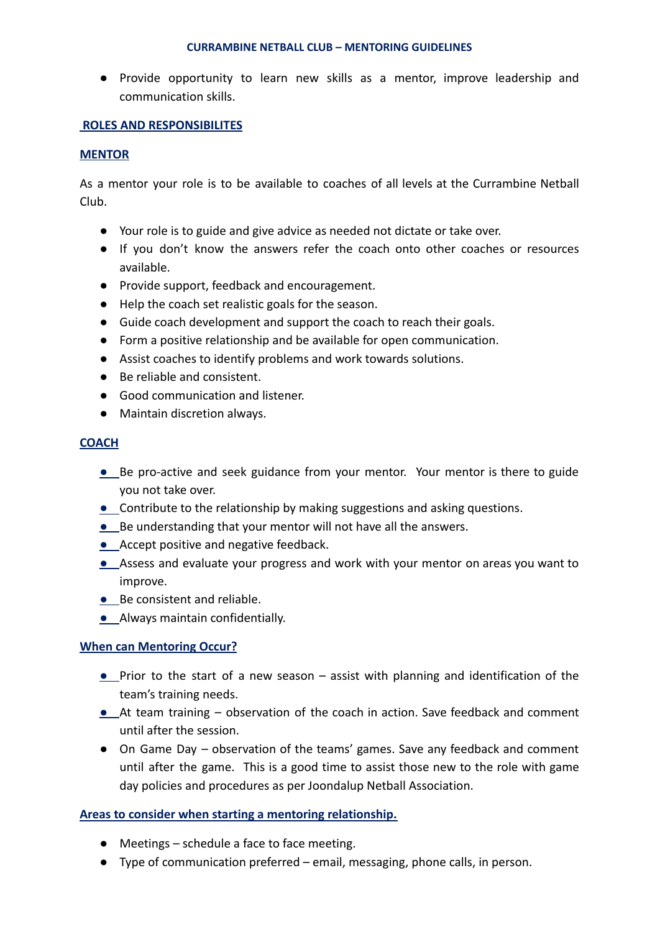#### **CURRAMBINE NETBALL CLUB – MENTORING GUIDELINES**

● Provide opportunity to learn new skills as a mentor, improve leadership and communication skills.

# **ROLES AND RESPONSIBILITES**

# **MENTOR**

As a mentor your role is to be available to coaches of all levels at the Currambine Netball Club.

- Your role is to guide and give advice as needed not dictate or take over.
- If you don't know the answers refer the coach onto other coaches or resources available.
- Provide support, feedback and encouragement.
- Help the coach set realistic goals for the season.
- Guide coach development and support the coach to reach their goals.
- Form a positive relationship and be available for open communication.
- Assist coaches to identify problems and work towards solutions.
- Be reliable and consistent.
- Good communication and listener.
- Maintain discretion always.

# **COACH**

- **•** Be pro-active and seek guidance from your mentor. Your mentor is there to guide you not take over.
- **•** Contribute to the relationship by making suggestions and asking questions.
- **●** Be understanding that your mentor will not have all the answers.
- **●** Accept positive and negative feedback.
- **●** Assess and evaluate your progress and work with your mentor on areas you want to improve.
- **●** Be consistent and reliable.
- **●** Always maintain confidentially.

# **When can Mentoring Occur?**

- **•** Prior to the start of a new season assist with planning and identification of the team's training needs.
- **●** At team training observation of the coach in action. Save feedback and comment until after the session.
- On Game Day observation of the teams' games. Save any feedback and comment until after the game. This is a good time to assist those new to the role with game day policies and procedures as per Joondalup Netball Association.

# **Areas to consider when starting a mentoring relationship.**

- Meetings schedule a face to face meeting.
- Type of communication preferred email, messaging, phone calls, in person.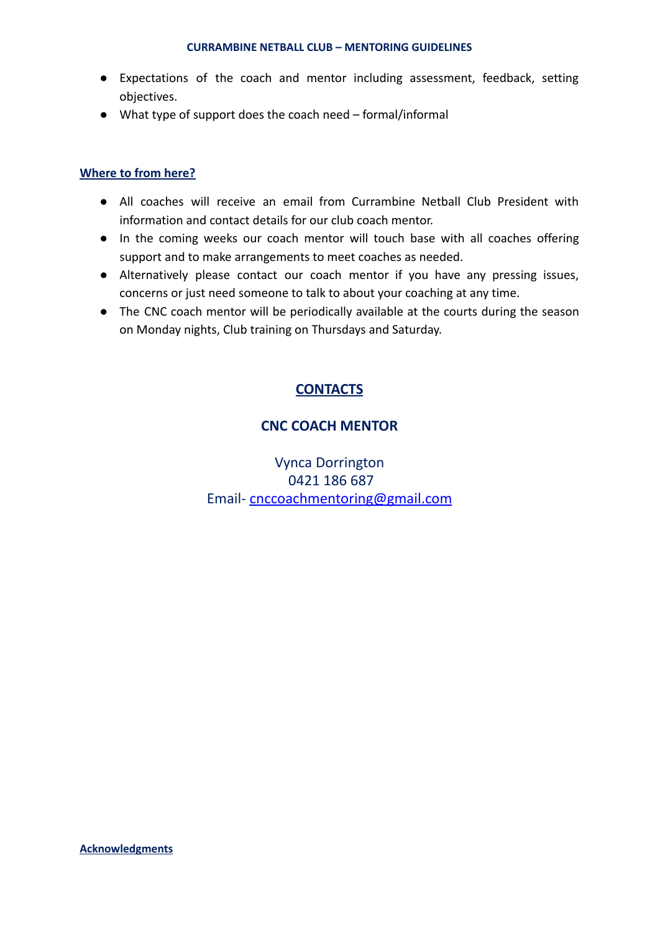#### **CURRAMBINE NETBALL CLUB – MENTORING GUIDELINES**

- Expectations of the coach and mentor including assessment, feedback, setting objectives.
- What type of support does the coach need formal/informal

# **Where to from here?**

- All coaches will receive an email from Currambine Netball Club President with information and contact details for our club coach mentor.
- In the coming weeks our coach mentor will touch base with all coaches offering support and to make arrangements to meet coaches as needed.
- Alternatively please contact our coach mentor if you have any pressing issues, concerns or just need someone to talk to about your coaching at any time.
- The CNC coach mentor will be periodically available at the courts during the season on Monday nights, Club training on Thursdays and Saturday.

# **CONTACTS**

# **CNC COACH MENTOR**

Vynca Dorrington 0421 186 687 Email- [cnccoachmentoring@gmail.com](mailto:cnccoachmentoring@gmail.com)